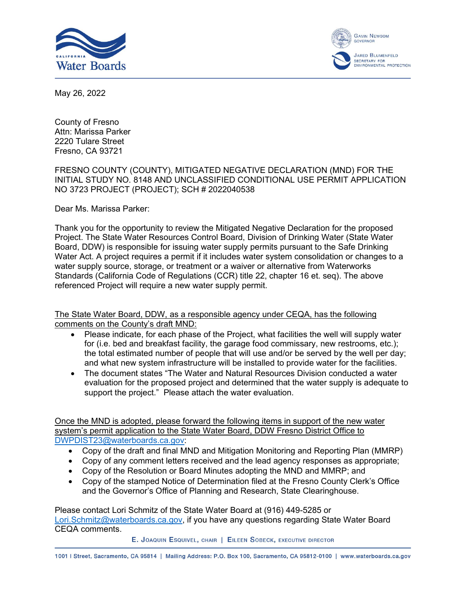



May 26, 2022

County of Fresno Attn: Marissa Parker 2220 Tulare Street Fresno, CA 93721

## FRESNO COUNTY (COUNTY), MITIGATED NEGATIVE DECLARATION (MND) FOR THE INITIAL STUDY NO. 8148 AND UNCLASSIFIED CONDITIONAL USE PERMIT APPLICATION NO 3723 PROJECT (PROJECT); SCH # 2022040538

Dear Ms. Marissa Parker:

Thank you for the opportunity to review the Mitigated Negative Declaration for the proposed Project. The State Water Resources Control Board, Division of Drinking Water (State Water Board, DDW) is responsible for issuing water supply permits pursuant to the Safe Drinking Water Act. A project requires a permit if it includes water system consolidation or changes to a water supply source, storage, or treatment or a waiver or alternative from Waterworks Standards (California Code of Regulations (CCR) title 22, chapter 16 et. seq). The above referenced Project will require a new water supply permit.

The State Water Board, DDW, as a responsible agency under CEQA, has the following comments on the County's draft MND:

- · Please indicate, for each phase of the Project, what facilities the well will supply water for (i.e. bed and breakfast facility, the garage food commissary, new restrooms, etc.); the total estimated number of people that will use and/or be served by the well per day; and what new system infrastructure will be installed to provide water for the facilities.
- · The document states "The Water and Natural Resources Division conducted a water evaluation for the proposed project and determined that the water supply is adequate to support the project." Please attach the water evaluation.

Once the MND is adopted, please forward the following items in support of the new water system's permit application to the State Water Board, DDW Fresno District Office to [DWPDIST23@waterboards.ca.gov](mailto:DWPDIST23@waterboards.ca.gov):

- · Copy of the draft and final MND and Mitigation Monitoring and Reporting Plan (MMRP)
- · Copy of any comment letters received and the lead agency responses as appropriate;
- · Copy of the Resolution or Board Minutes adopting the MND and MMRP; and
- · Copy of the stamped Notice of Determination filed at the Fresno County Clerk's Office and the Governor's Office of Planning and Research, State Clearinghouse.

Please contact Lori Schmitz of the State Water Board at (916) 449-5285 or [Lori.Schmitz@waterboards.ca.gov,](mailto:Lori.Schmitz@waterboards.ca.gov) if you have any questions regarding State Water Board CEQA comments.

E. JOAQUIN ESQUIVEL, CHAIR | EILEEN SOBECK, EXECUTIVE DIRECTOR